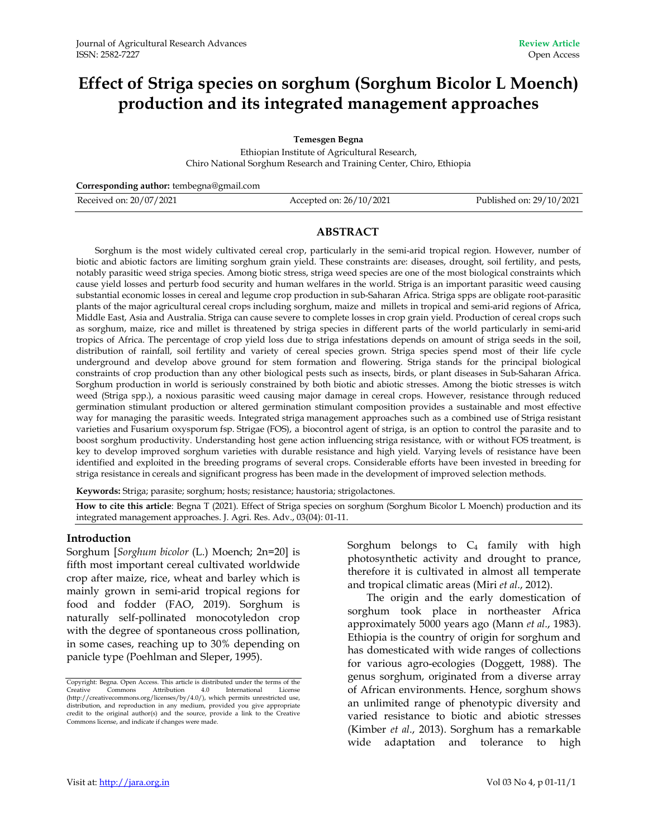# **Effect of Striga species on sorghum (Sorghum Bicolor L Moench) production and its integrated management approaches**

**Temesgen Begna** 

Ethiopian Institute of Agricultural Research, Chiro National Sorghum Research and Training Center, Chiro, Ethiopia

**Corresponding author:** tembegna@gmail.com

Received on: 20/07/2021 Accepted on: 26/10/2021 Published on: 29/10/2021

#### **ABSTRACT**

Sorghum is the most widely cultivated cereal crop, particularly in the semi-arid tropical region. However, number of biotic and abiotic factors are limiting sorghum grain yield. These constraints are: diseases, drought, soil fertility, and pests, notably parasitic weed striga species. Among biotic stress, striga weed species are one of the most biological constraints which cause yield losses and perturb food security and human welfares in the world. Striga is an important parasitic weed causing substantial economic losses in cereal and legume crop production in sub-Saharan Africa. Striga spps are obligate root-parasitic plants of the major agricultural cereal crops including sorghum, maize and millets in tropical and semi-arid regions of Africa, Middle East, Asia and Australia. Striga can cause severe to complete losses in crop grain yield. Production of cereal crops such as sorghum, maize, rice and millet is threatened by striga species in different parts of the world particularly in semi-arid tropics of Africa. The percentage of crop yield loss due to striga infestations depends on amount of striga seeds in the soil, distribution of rainfall, soil fertility and variety of cereal species grown. Striga species spend most of their life cycle underground and develop above ground for stem formation and flowering. Striga stands for the principal biological constraints of crop production than any other biological pests such as insects, birds, or plant diseases in Sub-Saharan Africa. Sorghum production in world is seriously constrained by both biotic and abiotic stresses. Among the biotic stresses is witch weed (Striga spp.), a noxious parasitic weed causing major damage in cereal crops. However, resistance through reduced germination stimulant production or altered germination stimulant composition provides a sustainable and most effective way for managing the parasitic weeds. Integrated striga management approaches such as a combined use of Striga resistant varieties and Fusarium oxysporum fsp. Strigae (FOS), a biocontrol agent of striga, is an option to control the parasite and to boost sorghum productivity. Understanding host gene action influencing striga resistance, with or without FOS treatment, is key to develop improved sorghum varieties with durable resistance and high yield. Varying levels of resistance have been identified and exploited in the breeding programs of several crops. Considerable efforts have been invested in breeding for striga resistance in cereals and significant progress has been made in the development of improved selection methods.

**Keywords:** Striga; parasite; sorghum; hosts; resistance; haustoria; strigolactones.

**How to cite this article**: Begna T (2021). Effect of Striga species on sorghum (Sorghum Bicolor L Moench) production and its integrated management approaches. J. Agri. Res. Adv., 03(04): 01-11.

#### **Introduction**

Sorghum [*Sorghum bicolor* (L.) Moench; 2n=20] is fifth most important cereal cultivated worldwide crop after maize, rice, wheat and barley which is mainly grown in semi-arid tropical regions for food and fodder (FAO, 2019). Sorghum is naturally self-pollinated monocotyledon crop with the degree of spontaneous cross pollination, in some cases, reaching up to 30% depending on panicle type (Poehlman and Sleper, 1995).

Sorghum belongs to  $C_4$  family with high photosynthetic activity and drought to prance, therefore it is cultivated in almost all temperate and tropical climatic areas (Miri *et al*., 2012).

The origin and the early domestication of sorghum took place in northeaster Africa approximately 5000 years ago (Mann *et al*., 1983). Ethiopia is the country of origin for sorghum and has domesticated with wide ranges of collections for various agro-ecologies (Doggett, 1988). The genus sorghum, originated from a diverse array of African environments. Hence, sorghum shows an unlimited range of phenotypic diversity and varied resistance to biotic and abiotic stresses (Kimber *et al*., 2013). Sorghum has a remarkable wide adaptation and tolerance to high

Copyright: Begna. Open Access. This article is distributed under the terms of the Creative Commons Attribution 4.0 International License (http://creativecommons.org/licenses/by/4.0/), which permits unrestricted use, distribution, and reproduction in any medium, provided you give appropriate credit to the original author(s) and the source, provide a link to the Creative Commons license, and indicate if changes were made.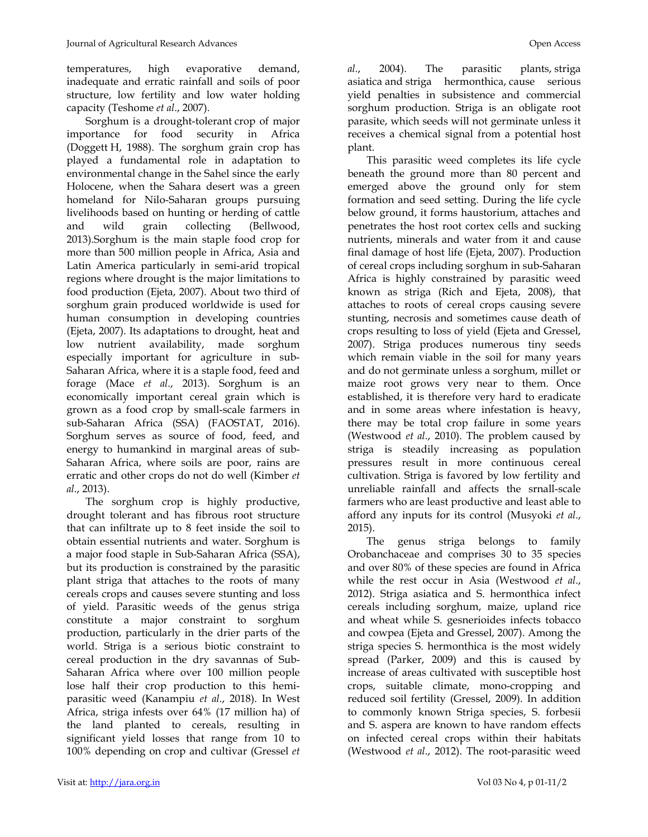temperatures, high evaporative demand, inadequate and erratic rainfall and soils of poor structure, low fertility and low water holding capacity (Teshome *et al*., 2007).

Sorghum is a drought-tolerant crop of major importance for food security in Africa (Doggett H, 1988). The sorghum grain crop has played a fundamental role in adaptation to environmental change in the Sahel since the early Holocene, when the Sahara desert was a green homeland for Nilo-Saharan groups pursuing livelihoods based on hunting or herding of cattle and wild grain collecting (Bellwood, 2013).Sorghum is the main staple food crop for more than 500 million people in Africa, Asia and Latin America particularly in semi-arid tropical regions where drought is the major limitations to food production (Ejeta, 2007). About two third of sorghum grain produced worldwide is used for human consumption in developing countries (Ejeta, 2007). Its adaptations to drought, heat and low nutrient availability, made sorghum especially important for agriculture in sub-Saharan Africa, where it is a staple food, feed and forage (Mace *et al*., 2013). Sorghum is an economically important cereal grain which is grown as a food crop by small-scale farmers in sub-Saharan Africa (SSA) (FAOSTAT, 2016). Sorghum serves as source of food, feed, and energy to humankind in marginal areas of sub-Saharan Africa, where soils are poor, rains are erratic and other crops do not do well (Kimber *et al*., 2013).

The sorghum crop is highly productive, drought tolerant and has fibrous root structure that can infiltrate up to 8 feet inside the soil to obtain essential nutrients and water. Sorghum is a major food staple in Sub-Saharan Africa (SSA), but its production is constrained by the parasitic plant striga that attaches to the roots of many cereals crops and causes severe stunting and loss of yield. Parasitic weeds of the genus striga constitute a major constraint to sorghum production, particularly in the drier parts of the world. Striga is a serious biotic constraint to cereal production in the dry savannas of Sub-Saharan Africa where over 100 million people lose half their crop production to this hemiparasitic weed (Kanampiu *et al*., 2018). In West Africa, striga infests over 64% (17 million ha) of the land planted to cereals, resulting in significant yield losses that range from 10 to 100% depending on crop and cultivar (Gressel *et*  *al*., 2004). The parasitic plants, striga asiatica and striga hermonthica, cause serious yield penalties in subsistence and commercial sorghum production. Striga is an obligate root parasite, which seeds will not germinate unless it receives a chemical signal from a potential host plant.

This parasitic weed completes its life cycle beneath the ground more than 80 percent and emerged above the ground only for stem formation and seed setting. During the life cycle below ground, it forms haustorium, attaches and penetrates the host root cortex cells and sucking nutrients, minerals and water from it and cause final damage of host life (Ejeta, 2007). Production of cereal crops including sorghum in sub-Saharan Africa is highly constrained by parasitic weed known as striga (Rich and Ejeta, 2008), that attaches to roots of cereal crops causing severe stunting, necrosis and sometimes cause death of crops resulting to loss of yield (Ejeta and Gressel, 2007). Striga produces numerous tiny seeds which remain viable in the soil for many years and do not germinate unless a sorghum, millet or maize root grows very near to them. Once established, it is therefore very hard to eradicate and in some areas where infestation is heavy, there may be total crop failure in some years (Westwood *et al*., 2010). The problem caused by striga is steadily increasing as population pressures result in more continuous cereal cultivation. Striga is favored by low fertility and unreliable rainfall and affects the srnall-scale farmers who are least productive and least able to afford any inputs for its control (Musyoki *et al*., 2015).

The genus striga belongs to family Orobanchaceae and comprises 30 to 35 species and over 80% of these species are found in Africa while the rest occur in Asia (Westwood *et al*., 2012). Striga asiatica and S. hermonthica infect cereals including sorghum, maize, upland rice and wheat while S. gesnerioides infects tobacco and cowpea (Ejeta and Gressel, 2007). Among the striga species S. hermonthica is the most widely spread (Parker, 2009) and this is caused by increase of areas cultivated with susceptible host crops, suitable climate, mono-cropping and reduced soil fertility (Gressel, 2009). In addition to commonly known Striga species, S. forbesii and S. aspera are known to have random effects on infected cereal crops within their habitats (Westwood *et al*., 2012). The root-parasitic weed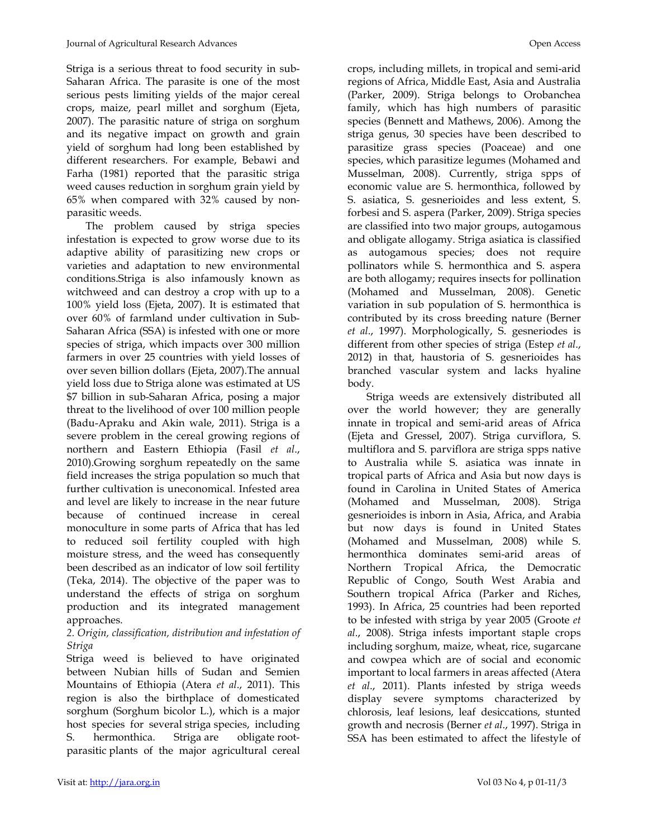Striga is a serious threat to food security in sub-Saharan Africa. The parasite is one of the most serious pests limiting yields of the major cereal crops, maize, pearl millet and sorghum (Ejeta, 2007). The parasitic nature of striga on sorghum and its negative impact on growth and grain yield of sorghum had long been established by different researchers. For example, Bebawi and Farha (1981) reported that the parasitic striga weed causes reduction in sorghum grain yield by 65% when compared with 32% caused by nonparasitic weeds.

The problem caused by striga species infestation is expected to grow worse due to its adaptive ability of parasitizing new crops or varieties and adaptation to new environmental conditions.Striga is also infamously known as witchweed and can destroy a crop with up to a 100% yield loss (Ejeta, 2007). It is estimated that over 60% of farmland under cultivation in Sub-Saharan Africa (SSA) is infested with one or more species of striga, which impacts over 300 million farmers in over 25 countries with yield losses of over seven billion dollars (Ejeta, 2007).The annual yield loss due to Striga alone was estimated at US \$7 billion in sub-Saharan Africa, posing a major threat to the livelihood of over 100 million people (Badu-Apraku and Akin wale, 2011). Striga is a severe problem in the cereal growing regions of northern and Eastern Ethiopia (Fasil *et al*., 2010).Growing sorghum repeatedly on the same field increases the striga population so much that further cultivation is uneconomical. Infested area and level are likely to increase in the near future because of continued increase in cereal monoculture in some parts of Africa that has led to reduced soil fertility coupled with high moisture stress, and the weed has consequently been described as an indicator of low soil fertility (Teka, 2014). The objective of the paper was to understand the effects of striga on sorghum production and its integrated management approaches.

### *2. Origin, classification, distribution and infestation of Striga*

Striga weed is believed to have originated between Nubian hills of Sudan and Semien Mountains of Ethiopia (Atera *et al*., 2011). This region is also the birthplace of domesticated sorghum (Sorghum bicolor L.), which is a major host species for several striga species, including S. hermonthica. Striga are obligate rootparasitic plants of the major agricultural cereal crops, including millets, in tropical and semi-arid regions of Africa, Middle East, Asia and Australia (Parker, 2009). Striga belongs to Orobanchea family, which has high numbers of parasitic species (Bennett and Mathews, 2006). Among the striga genus, 30 species have been described to parasitize grass species (Poaceae) and one species, which parasitize legumes (Mohamed and Musselman, 2008). Currently, striga spps of economic value are S. hermonthica, followed by S. asiatica, S. gesnerioides and less extent, S. forbesi and S. aspera (Parker, 2009). Striga species are classified into two major groups, autogamous and obligate allogamy. Striga asiatica is classified as autogamous species; does not require pollinators while S. hermonthica and S. aspera are both allogamy; requires insects for pollination (Mohamed and Musselman, 2008). Genetic variation in sub population of S. hermonthica is contributed by its cross breeding nature (Berner *et al*., 1997). Morphologically, S. gesneriodes is different from other species of striga (Estep *et al*., 2012) in that, haustoria of S. gesnerioides has branched vascular system and lacks hyaline body.

Striga weeds are extensively distributed all over the world however; they are generally innate in tropical and semi-arid areas of Africa (Ejeta and Gressel, 2007). Striga curviflora, S. multiflora and S. parviflora are striga spps native to Australia while S. asiatica was innate in tropical parts of Africa and Asia but now days is found in Carolina in United States of America (Mohamed and Musselman, 2008). Striga gesnerioides is inborn in Asia, Africa, and Arabia but now days is found in United States (Mohamed and Musselman, 2008) while S. hermonthica dominates semi-arid areas of Northern Tropical Africa, the Democratic Republic of Congo, South West Arabia and Southern tropical Africa (Parker and Riches, 1993). In Africa, 25 countries had been reported to be infested with striga by year 2005 (Groote *et al*., 2008). Striga infests important staple crops including sorghum, maize, wheat, rice, sugarcane and cowpea which are of social and economic important to local farmers in areas affected (Atera *et al*., 2011). Plants infested by striga weeds display severe symptoms characterized by chlorosis, leaf lesions, leaf desiccations, stunted growth and necrosis (Berner *et al*., 1997). Striga in SSA has been estimated to affect the lifestyle of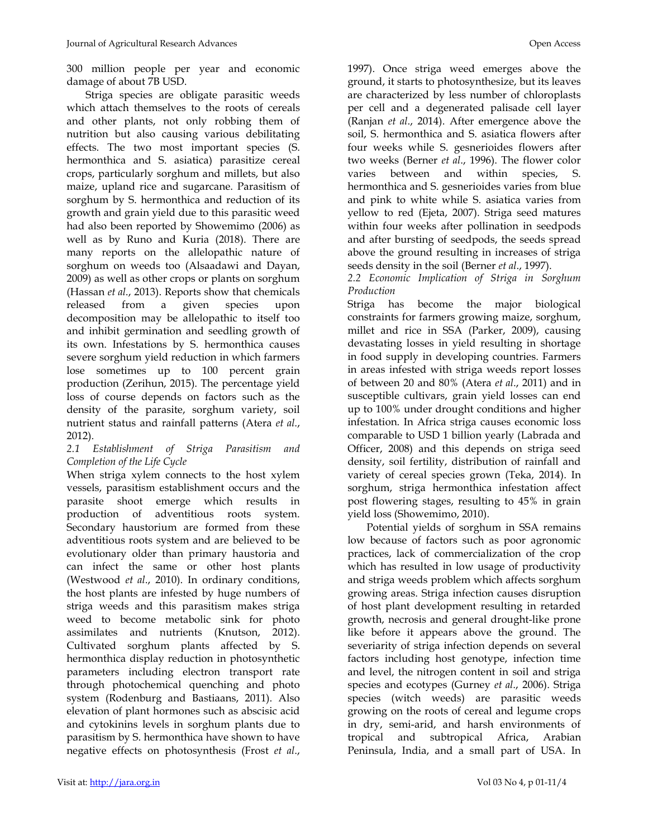300 million people per year and economic damage of about 7B USD.

Striga species are obligate parasitic weeds which attach themselves to the roots of cereals and other plants, not only robbing them of nutrition but also causing various debilitating effects. The two most important species (S. hermonthica and S. asiatica) parasitize cereal crops, particularly sorghum and millets, but also maize, upland rice and sugarcane. Parasitism of sorghum by S. hermonthica and reduction of its growth and grain yield due to this parasitic weed had also been reported by Showemimo (2006) as well as by Runo and Kuria (2018). There are many reports on the allelopathic nature of sorghum on weeds too (Alsaadawi and Dayan, 2009) as well as other crops or plants on sorghum (Hassan *et al*., 2013). Reports show that chemicals released from a given species upon decomposition may be allelopathic to itself too and inhibit germination and seedling growth of its own. Infestations by S. hermonthica causes severe sorghum yield reduction in which farmers lose sometimes up to 100 percent grain production (Zerihun, 2015). The percentage yield loss of course depends on factors such as the density of the parasite, sorghum variety, soil nutrient status and rainfall patterns (Atera *et al*., 2012).

#### *2.1 Establishment of Striga Parasitism and Completion of the Life Cycle*

When striga xylem connects to the host xylem vessels, parasitism establishment occurs and the parasite shoot emerge which results in production of adventitious roots system. Secondary haustorium are formed from these adventitious roots system and are believed to be evolutionary older than primary haustoria and can infect the same or other host plants (Westwood *et al*., 2010). In ordinary conditions, the host plants are infested by huge numbers of striga weeds and this parasitism makes striga weed to become metabolic sink for photo assimilates and nutrients (Knutson, 2012). Cultivated sorghum plants affected by S. hermonthica display reduction in photosynthetic parameters including electron transport rate through photochemical quenching and photo system (Rodenburg and Bastiaans, 2011). Also elevation of plant hormones such as abscisic acid and cytokinins levels in sorghum plants due to parasitism by S. hermonthica have shown to have negative effects on photosynthesis (Frost *et al*.,

1997). Once striga weed emerges above the ground, it starts to photosynthesize, but its leaves are characterized by less number of chloroplasts per cell and a degenerated palisade cell layer (Ranjan *et al*., 2014). After emergence above the soil, S. hermonthica and S. asiatica flowers after four weeks while S. gesnerioides flowers after two weeks (Berner *et al*., 1996). The flower color varies between and within species, S. hermonthica and S. gesnerioides varies from blue and pink to white while S. asiatica varies from yellow to red (Ejeta, 2007). Striga seed matures within four weeks after pollination in seedpods and after bursting of seedpods, the seeds spread above the ground resulting in increases of striga seeds density in the soil (Berner *et al*., 1997).

*2.2 Economic Implication of Striga in Sorghum Production* 

Striga has become the major biological constraints for farmers growing maize, sorghum, millet and rice in SSA (Parker, 2009), causing devastating losses in yield resulting in shortage in food supply in developing countries. Farmers in areas infested with striga weeds report losses of between 20 and 80% (Atera *et al*., 2011) and in susceptible cultivars, grain yield losses can end up to 100% under drought conditions and higher infestation. In Africa striga causes economic loss comparable to USD 1 billion yearly (Labrada and Officer, 2008) and this depends on striga seed density, soil fertility, distribution of rainfall and variety of cereal species grown (Teka, 2014). In sorghum, striga hermonthica infestation affect post flowering stages, resulting to 45% in grain yield loss (Showemimo, 2010).

Potential yields of sorghum in SSA remains low because of factors such as poor agronomic practices, lack of commercialization of the crop which has resulted in low usage of productivity and striga weeds problem which affects sorghum growing areas. Striga infection causes disruption of host plant development resulting in retarded growth, necrosis and general drought-like prone like before it appears above the ground. The severiarity of striga infection depends on several factors including host genotype, infection time and level, the nitrogen content in soil and striga species and ecotypes (Gurney *et al*., 2006). Striga species (witch weeds) are parasitic weeds growing on the roots of cereal and legume crops in dry, semi-arid, and harsh environments of tropical and subtropical Africa, Arabian Peninsula, India, and a small part of USA. In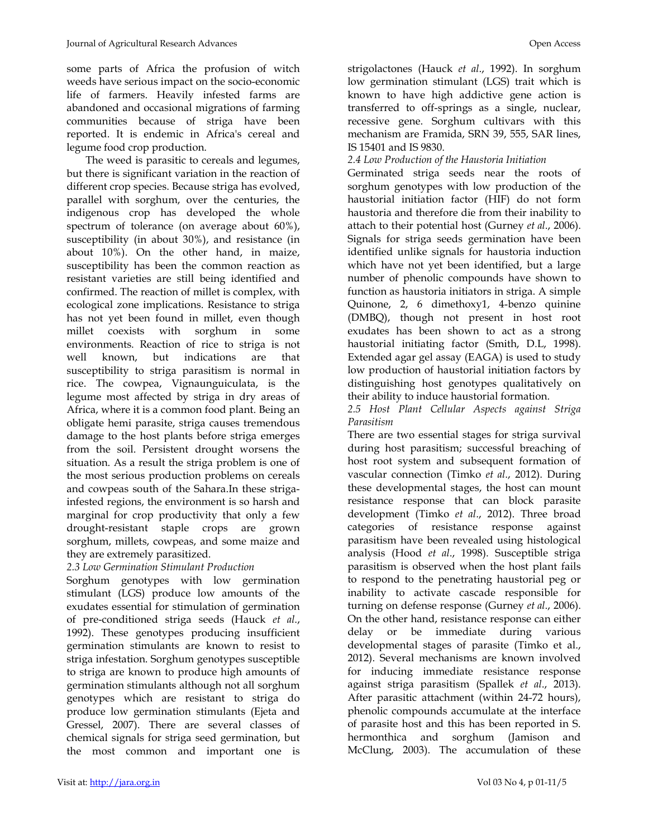some parts of Africa the profusion of witch weeds have serious impact on the socio-economic life of farmers. Heavily infested farms are abandoned and occasional migrations of farming communities because of striga have been reported. It is endemic in Africa's cereal and legume food crop production.

The weed is parasitic to cereals and legumes, but there is significant variation in the reaction of different crop species. Because striga has evolved, parallel with sorghum, over the centuries, the indigenous crop has developed the whole spectrum of tolerance (on average about 60%), susceptibility (in about 30%), and resistance (in about 10%). On the other hand, in maize, susceptibility has been the common reaction as resistant varieties are still being identified and confirmed. The reaction of millet is complex, with ecological zone implications. Resistance to striga has not yet been found in millet, even though millet coexists with sorghum in some environments. Reaction of rice to striga is not well known, but indications are that susceptibility to striga parasitism is normal in rice. The cowpea, Vignaunguiculata, is the legume most affected by striga in dry areas of Africa, where it is a common food plant. Being an obligate hemi parasite, striga causes tremendous damage to the host plants before striga emerges from the soil. Persistent drought worsens the situation. As a result the striga problem is one of the most serious production problems on cereals and cowpeas south of the Sahara.In these strigainfested regions, the environment is so harsh and marginal for crop productivity that only a few drought-resistant staple crops are grown sorghum, millets, cowpeas, and some maize and they are extremely parasitized.

# *2.3 Low Germination Stimulant Production*

Sorghum genotypes with low germination stimulant (LGS) produce low amounts of the exudates essential for stimulation of germination of pre-conditioned striga seeds (Hauck *et al*., 1992). These genotypes producing insufficient germination stimulants are known to resist to striga infestation. Sorghum genotypes susceptible to striga are known to produce high amounts of germination stimulants although not all sorghum genotypes which are resistant to striga do produce low germination stimulants (Ejeta and Gressel, 2007). There are several classes of chemical signals for striga seed germination, but the most common and important one is strigolactones (Hauck *et al*., 1992). In sorghum low germination stimulant (LGS) trait which is known to have high addictive gene action is transferred to off-springs as a single, nuclear, recessive gene. Sorghum cultivars with this mechanism are Framida, SRN 39, 555, SAR lines, IS 15401 and IS 9830.

#### *2.4 Low Production of the Haustoria Initiation*

Germinated striga seeds near the roots of sorghum genotypes with low production of the haustorial initiation factor (HIF) do not form haustoria and therefore die from their inability to attach to their potential host (Gurney *et al*., 2006). Signals for striga seeds germination have been identified unlike signals for haustoria induction which have not yet been identified, but a large number of phenolic compounds have shown to function as haustoria initiators in striga. A simple Quinone, 2, 6 dimethoxy1, 4-benzo quinine (DMBQ), though not present in host root exudates has been shown to act as a strong haustorial initiating factor (Smith, D.L, 1998). Extended agar gel assay (EAGA) is used to study low production of haustorial initiation factors by distinguishing host genotypes qualitatively on their ability to induce haustorial formation.

*2.5 Host Plant Cellular Aspects against Striga Parasitism* 

There are two essential stages for striga survival during host parasitism; successful breaching of host root system and subsequent formation of vascular connection (Timko *et al*., 2012). During these developmental stages, the host can mount resistance response that can block parasite development (Timko *et al*., 2012). Three broad categories of resistance response against parasitism have been revealed using histological analysis (Hood *et al*., 1998). Susceptible striga parasitism is observed when the host plant fails to respond to the penetrating haustorial peg or inability to activate cascade responsible for turning on defense response (Gurney *et al*., 2006). On the other hand, resistance response can either delay or be immediate during various developmental stages of parasite (Timko et al., 2012). Several mechanisms are known involved for inducing immediate resistance response against striga parasitism (Spallek *et al*., 2013). After parasitic attachment (within 24-72 hours), phenolic compounds accumulate at the interface of parasite host and this has been reported in S. hermonthica and sorghum (Jamison and McClung, 2003). The accumulation of these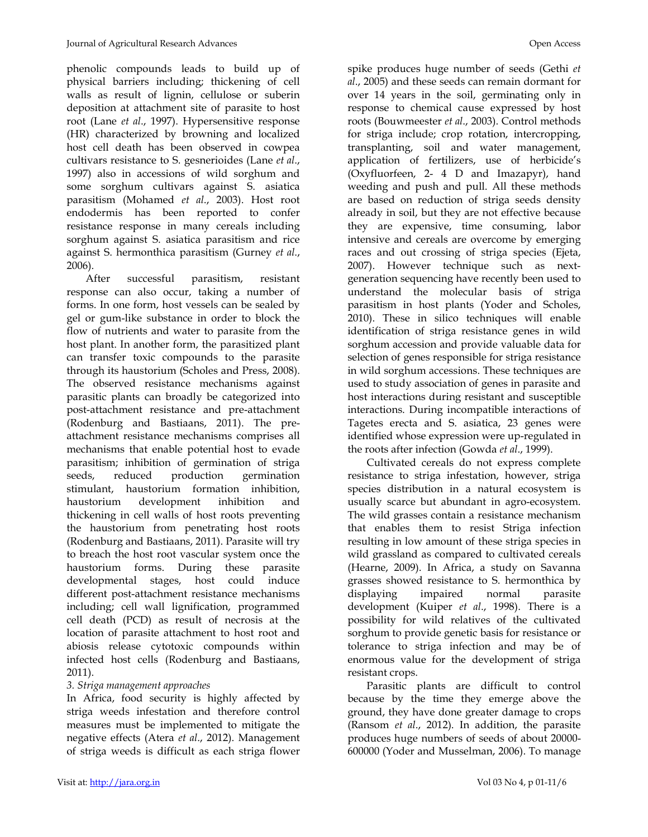phenolic compounds leads to build up of physical barriers including; thickening of cell walls as result of lignin, cellulose or suberin deposition at attachment site of parasite to host root (Lane *et al*., 1997). Hypersensitive response (HR) characterized by browning and localized host cell death has been observed in cowpea cultivars resistance to S. gesnerioides (Lane *et al*., 1997) also in accessions of wild sorghum and some sorghum cultivars against S. asiatica parasitism (Mohamed *et al*., 2003). Host root endodermis has been reported to confer resistance response in many cereals including sorghum against S. asiatica parasitism and rice against S. hermonthica parasitism (Gurney *et al*., 2006).

After successful parasitism, resistant response can also occur, taking a number of forms. In one form, host vessels can be sealed by gel or gum-like substance in order to block the flow of nutrients and water to parasite from the host plant. In another form, the parasitized plant can transfer toxic compounds to the parasite through its haustorium (Scholes and Press, 2008). The observed resistance mechanisms against parasitic plants can broadly be categorized into post-attachment resistance and pre-attachment (Rodenburg and Bastiaans, 2011). The preattachment resistance mechanisms comprises all mechanisms that enable potential host to evade parasitism; inhibition of germination of striga seeds, reduced production germination stimulant, haustorium formation inhibition, haustorium development inhibition and thickening in cell walls of host roots preventing the haustorium from penetrating host roots (Rodenburg and Bastiaans, 2011). Parasite will try to breach the host root vascular system once the haustorium forms. During these parasite developmental stages, host could induce different post-attachment resistance mechanisms including; cell wall lignification, programmed cell death (PCD) as result of necrosis at the location of parasite attachment to host root and abiosis release cytotoxic compounds within infected host cells (Rodenburg and Bastiaans, 2011).

### *3. Striga management approaches*

In Africa, food security is highly affected by striga weeds infestation and therefore control measures must be implemented to mitigate the negative effects (Atera *et al*., 2012). Management of striga weeds is difficult as each striga flower spike produces huge number of seeds (Gethi *et al*., 2005) and these seeds can remain dormant for over 14 years in the soil, germinating only in response to chemical cause expressed by host roots (Bouwmeester *et al*., 2003). Control methods for striga include; crop rotation, intercropping, transplanting, soil and water management, application of fertilizers, use of herbicide's (Oxyfluorfeen, 2- 4 D and Imazapyr), hand weeding and push and pull. All these methods are based on reduction of striga seeds density already in soil, but they are not effective because they are expensive, time consuming, labor intensive and cereals are overcome by emerging races and out crossing of striga species (Ejeta, 2007). However technique such as nextgeneration sequencing have recently been used to understand the molecular basis of striga parasitism in host plants (Yoder and Scholes, 2010). These in silico techniques will enable identification of striga resistance genes in wild sorghum accession and provide valuable data for selection of genes responsible for striga resistance in wild sorghum accessions. These techniques are used to study association of genes in parasite and host interactions during resistant and susceptible interactions. During incompatible interactions of Tagetes erecta and S. asiatica, 23 genes were identified whose expression were up-regulated in the roots after infection (Gowda *et al*., 1999).

Cultivated cereals do not express complete resistance to striga infestation, however, striga species distribution in a natural ecosystem is usually scarce but abundant in agro-ecosystem. The wild grasses contain a resistance mechanism that enables them to resist Striga infection resulting in low amount of these striga species in wild grassland as compared to cultivated cereals (Hearne, 2009). In Africa, a study on Savanna grasses showed resistance to S. hermonthica by displaying impaired normal parasite development (Kuiper *et al*., 1998). There is a possibility for wild relatives of the cultivated sorghum to provide genetic basis for resistance or tolerance to striga infection and may be of enormous value for the development of striga resistant crops.

Parasitic plants are difficult to control because by the time they emerge above the ground, they have done greater damage to crops (Ransom *et al*., 2012). In addition, the parasite produces huge numbers of seeds of about 20000- 600000 (Yoder and Musselman, 2006). To manage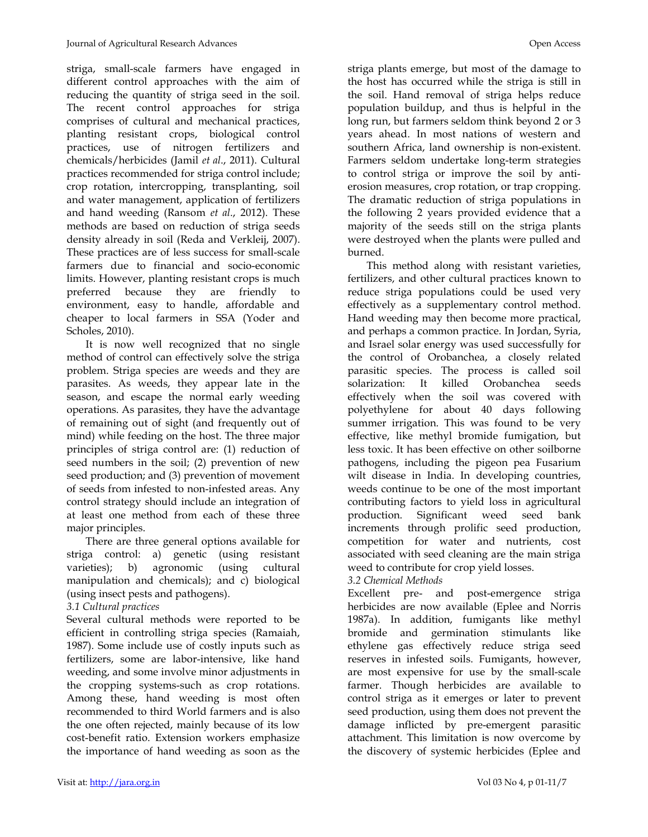striga, small-scale farmers have engaged in different control approaches with the aim of reducing the quantity of striga seed in the soil. The recent control approaches for striga comprises of cultural and mechanical practices, planting resistant crops, biological control practices, use of nitrogen fertilizers and chemicals/herbicides (Jamil *et al*., 2011). Cultural practices recommended for striga control include; crop rotation, intercropping, transplanting, soil and water management, application of fertilizers and hand weeding (Ransom *et al*., 2012). These methods are based on reduction of striga seeds density already in soil (Reda and Verkleij, 2007). These practices are of less success for small-scale farmers due to financial and socio-economic limits. However, planting resistant crops is much preferred because they are friendly to environment, easy to handle, affordable and cheaper to local farmers in SSA (Yoder and Scholes, 2010).

It is now well recognized that no single method of control can effectively solve the striga problem. Striga species are weeds and they are parasites. As weeds, they appear late in the season, and escape the normal early weeding operations. As parasites, they have the advantage of remaining out of sight (and frequently out of mind) while feeding on the host. The three major principles of striga control are: (1) reduction of seed numbers in the soil; (2) prevention of new seed production; and (3) prevention of movement of seeds from infested to non-infested areas. Any control strategy should include an integration of at least one method from each of these three major principles.

There are three general options available for striga control: a) genetic (using resistant varieties); b) agronomic (using cultural manipulation and chemicals); and c) biological (using insect pests and pathogens).

### *3.1 Cultural practices*

Several cultural methods were reported to be efficient in controlling striga species (Ramaiah, 1987). Some include use of costly inputs such as fertilizers, some are labor-intensive, like hand weeding, and some involve minor adjustments in the cropping systems-such as crop rotations. Among these, hand weeding is most often recommended to third World farmers and is also the one often rejected, mainly because of its low cost-benefit ratio. Extension workers emphasize the importance of hand weeding as soon as the striga plants emerge, but most of the damage to the host has occurred while the striga is still in the soil. Hand removal of striga helps reduce population buildup, and thus is helpful in the long run, but farmers seldom think beyond 2 or 3 years ahead. In most nations of western and southern Africa, land ownership is non-existent. Farmers seldom undertake long-term strategies to control striga or improve the soil by antierosion measures, crop rotation, or trap cropping. The dramatic reduction of striga populations in the following 2 years provided evidence that a majority of the seeds still on the striga plants were destroyed when the plants were pulled and burned.

This method along with resistant varieties, fertilizers, and other cultural practices known to reduce striga populations could be used very effectively as a supplementary control method. Hand weeding may then become more practical, and perhaps a common practice. In Jordan, Syria, and Israel solar energy was used successfully for the control of Orobanchea, a closely related parasitic species. The process is called soil solarization: It killed Orobanchea seeds effectively when the soil was covered with polyethylene for about 40 days following summer irrigation. This was found to be very effective, like methyl bromide fumigation, but less toxic. It has been effective on other soilborne pathogens, including the pigeon pea Fusarium wilt disease in India. In developing countries, weeds continue to be one of the most important contributing factors to yield loss in agricultural production. Significant weed seed bank increments through prolific seed production, competition for water and nutrients, cost associated with seed cleaning are the main striga weed to contribute for crop yield losses.

### *3.2 Chemical Methods*

Excellent pre- and post-emergence striga herbicides are now available (Eplee and Norris 1987a). In addition, fumigants like methyl bromide and germination stimulants like ethylene gas effectively reduce striga seed reserves in infested soils. Fumigants, however, are most expensive for use by the small-scale farmer. Though herbicides are available to control striga as it emerges or later to prevent seed production, using them does not prevent the damage inflicted by pre-emergent parasitic attachment. This limitation is now overcome by the discovery of systemic herbicides (Eplee and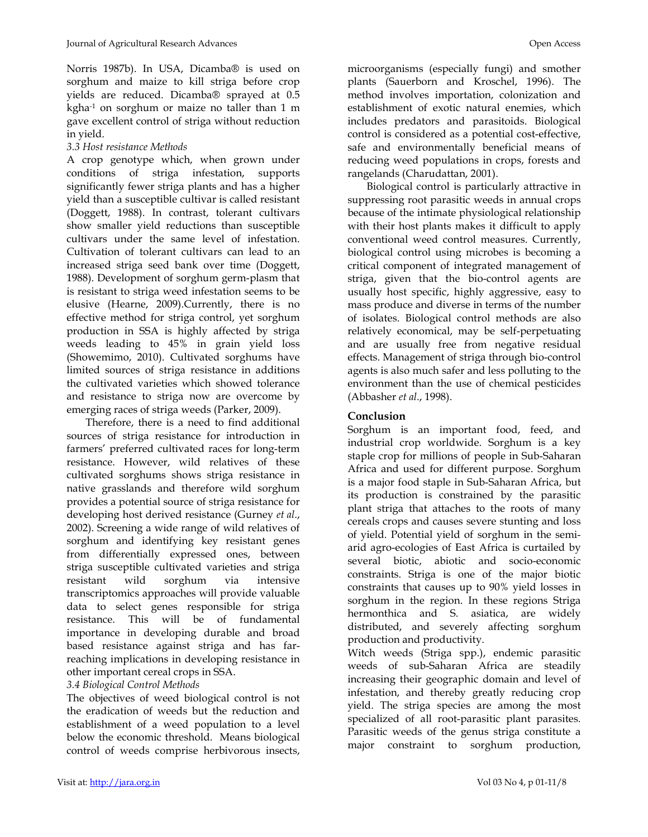Norris 1987b). In USA, Dicamba® is used on sorghum and maize to kill striga before crop yields are reduced. Dicamba® sprayed at 0.5 kgha-1 on sorghum or maize no taller than 1 m gave excellent control of striga without reduction in yield.

## *3.3 Host resistance Methods*

A crop genotype which, when grown under conditions of striga infestation, supports significantly fewer striga plants and has a higher yield than a susceptible cultivar is called resistant (Doggett, 1988). In contrast, tolerant cultivars show smaller yield reductions than susceptible cultivars under the same level of infestation. Cultivation of tolerant cultivars can lead to an increased striga seed bank over time (Doggett, 1988). Development of sorghum germ-plasm that is resistant to striga weed infestation seems to be elusive (Hearne, 2009).Currently, there is no effective method for striga control, yet sorghum production in SSA is highly affected by striga weeds leading to 45% in grain yield loss (Showemimo, 2010). Cultivated sorghums have limited sources of striga resistance in additions the cultivated varieties which showed tolerance and resistance to striga now are overcome by emerging races of striga weeds (Parker, 2009).

Therefore, there is a need to find additional sources of striga resistance for introduction in farmers' preferred cultivated races for long-term resistance. However, wild relatives of these cultivated sorghums shows striga resistance in native grasslands and therefore wild sorghum provides a potential source of striga resistance for developing host derived resistance (Gurney *et al*., 2002). Screening a wide range of wild relatives of sorghum and identifying key resistant genes from differentially expressed ones, between striga susceptible cultivated varieties and striga resistant wild sorghum via intensive transcriptomics approaches will provide valuable data to select genes responsible for striga resistance. This will be of fundamental importance in developing durable and broad based resistance against striga and has farreaching implications in developing resistance in other important cereal crops in SSA.

### *3.4 Biological Control Methods*

The objectives of weed biological control is not the eradication of weeds but the reduction and establishment of a weed population to a level below the economic threshold. Means biological control of weeds comprise herbivorous insects, microorganisms (especially fungi) and smother plants (Sauerborn and Kroschel, 1996). The method involves importation, colonization and establishment of exotic natural enemies, which includes predators and parasitoids. Biological control is considered as a potential cost-effective, safe and environmentally beneficial means of reducing weed populations in crops, forests and rangelands (Charudattan, 2001).

Biological control is particularly attractive in suppressing root parasitic weeds in annual crops because of the intimate physiological relationship with their host plants makes it difficult to apply conventional weed control measures. Currently, biological control using microbes is becoming a critical component of integrated management of striga, given that the bio-control agents are usually host specific, highly aggressive, easy to mass produce and diverse in terms of the number of isolates. Biological control methods are also relatively economical, may be self-perpetuating and are usually free from negative residual effects. Management of striga through bio-control agents is also much safer and less polluting to the environment than the use of chemical pesticides (Abbasher *et al*., 1998).

# **Conclusion**

Sorghum is an important food, feed, and industrial crop worldwide. Sorghum is a key staple crop for millions of people in Sub-Saharan Africa and used for different purpose. Sorghum is a major food staple in Sub-Saharan Africa, but its production is constrained by the parasitic plant striga that attaches to the roots of many cereals crops and causes severe stunting and loss of yield. Potential yield of sorghum in the semiarid agro-ecologies of East Africa is curtailed by several biotic, abiotic and socio-economic constraints. Striga is one of the major biotic constraints that causes up to 90% yield losses in sorghum in the region. In these regions Striga hermonthica and S. asiatica, are widely distributed, and severely affecting sorghum production and productivity.

Witch weeds (Striga spp.), endemic parasitic weeds of sub-Saharan Africa are steadily increasing their geographic domain and level of infestation, and thereby greatly reducing crop yield. The striga species are among the most specialized of all root-parasitic plant parasites. Parasitic weeds of the genus striga constitute a major constraint to sorghum production,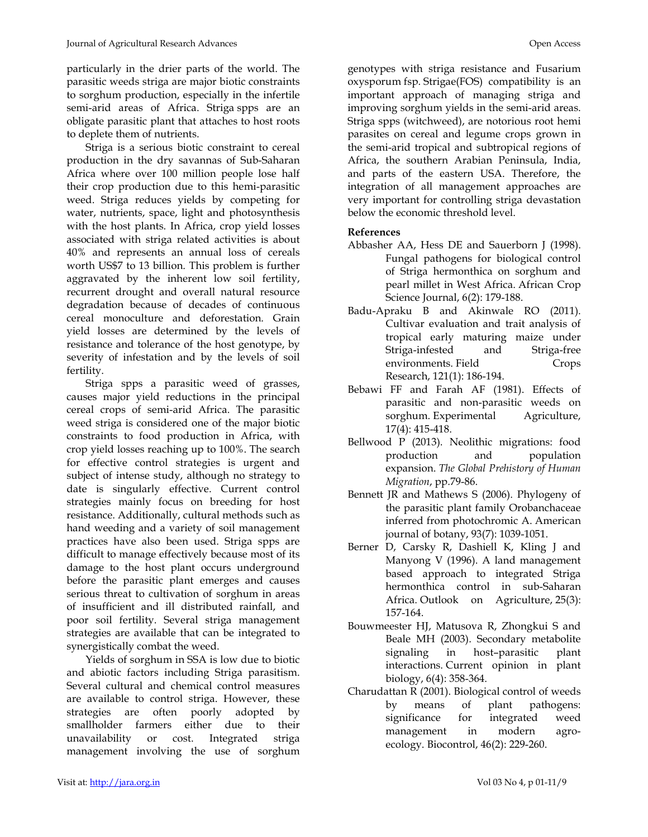particularly in the drier parts of the world. The parasitic weeds striga are major biotic constraints to sorghum production, especially in the infertile semi-arid areas of Africa. Striga spps are an obligate parasitic plant that attaches to host roots to deplete them of nutrients.

Striga is a serious biotic constraint to cereal production in the dry savannas of Sub-Saharan Africa where over 100 million people lose half their crop production due to this hemi-parasitic weed. Striga reduces yields by competing for water, nutrients, space, light and photosynthesis with the host plants. In Africa, crop yield losses associated with striga related activities is about 40% and represents an annual loss of cereals worth US\$7 to 13 billion. This problem is further aggravated by the inherent low soil fertility, recurrent drought and overall natural resource degradation because of decades of continuous cereal monoculture and deforestation. Grain yield losses are determined by the levels of resistance and tolerance of the host genotype, by severity of infestation and by the levels of soil fertility.

Striga spps a parasitic weed of grasses, causes major yield reductions in the principal cereal crops of semi-arid Africa. The parasitic weed striga is considered one of the major biotic constraints to food production in Africa, with crop yield losses reaching up to 100%. The search for effective control strategies is urgent and subject of intense study, although no strategy to date is singularly effective. Current control strategies mainly focus on breeding for host resistance. Additionally, cultural methods such as hand weeding and a variety of soil management practices have also been used. Striga spps are difficult to manage effectively because most of its damage to the host plant occurs underground before the parasitic plant emerges and causes serious threat to cultivation of sorghum in areas of insufficient and ill distributed rainfall, and poor soil fertility. Several striga management strategies are available that can be integrated to synergistically combat the weed.

Yields of sorghum in SSA is low due to biotic and abiotic factors including Striga parasitism. Several cultural and chemical control measures are available to control striga. However, these strategies are often poorly adopted by smallholder farmers either due to their unavailability or cost. Integrated striga management involving the use of sorghum genotypes with striga resistance and Fusarium oxysporum fsp. Strigae(FOS) compatibility is an important approach of managing striga and improving sorghum yields in the semi-arid areas. Striga spps (witchweed), are notorious root hemi parasites on cereal and legume crops grown in the semi-arid tropical and subtropical regions of Africa, the southern Arabian Peninsula, India, and parts of the eastern USA. Therefore, the integration of all management approaches are very important for controlling striga devastation below the economic threshold level.

### **References**

- Abbasher AA, Hess DE and Sauerborn J (1998). Fungal pathogens for biological control of Striga hermonthica on sorghum and pearl millet in West Africa. African Crop Science Journal, 6(2): 179-188.
- Badu-Apraku B and Akinwale RO (2011). Cultivar evaluation and trait analysis of tropical early maturing maize under Striga-infested and Striga-free environments. Field Crops Research, 121(1): 186-194.
- Bebawi FF and Farah AF (1981). Effects of parasitic and non-parasitic weeds on sorghum. Experimental Agriculture, 17(4): 415-418.
- Bellwood P (2013). Neolithic migrations: food production and population expansion. *The Global Prehistory of Human Migration*, pp.79-86.
- Bennett JR and Mathews S (2006). Phylogeny of the parasitic plant family Orobanchaceae inferred from photochromic A. American journal of botany, 93(7): 1039-1051.
- Berner D, Carsky R, Dashiell K, Kling J and Manyong V (1996). A land management based approach to integrated Striga hermonthica control in sub-Saharan Africa. Outlook on Agriculture, 25(3): 157-164.
- Bouwmeester HJ, Matusova R, Zhongkui S and Beale MH (2003). Secondary metabolite signaling in host–parasitic plant interactions. Current opinion in plant biology, 6(4): 358-364.
- Charudattan R (2001). Biological control of weeds by means of plant pathogens: significance for integrated weed management in modern agroecology. Biocontrol, 46(2): 229-260.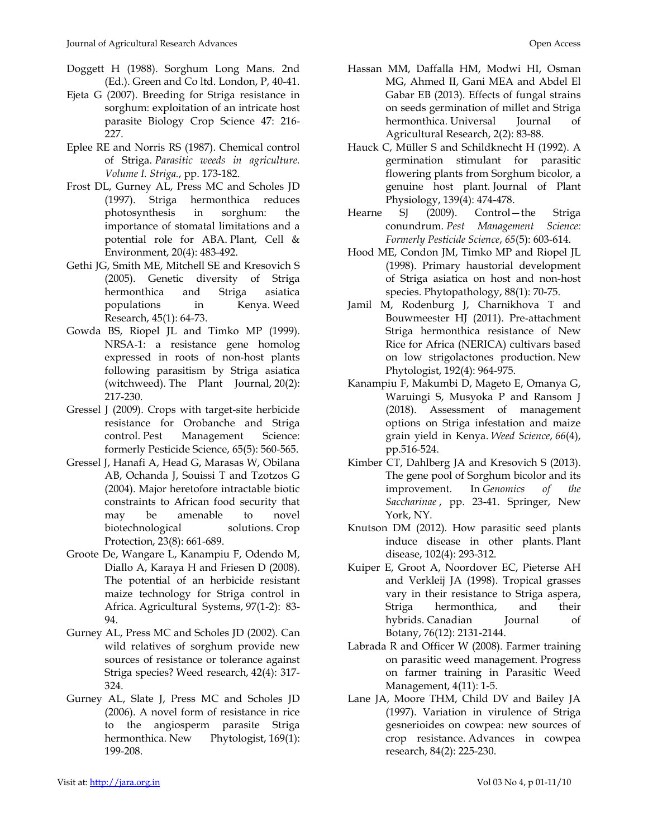- Doggett H (1988). Sorghum Long Mans. 2nd (Ed.). Green and Co ltd. London, P, 40-41.
- Ejeta G (2007). Breeding for Striga resistance in sorghum: exploitation of an intricate host parasite Biology Crop Science 47: 216- 227.
- Eplee RE and Norris RS (1987). Chemical control of Striga. *Parasitic weeds in agriculture. Volume I. Striga.*, pp. 173-182.
- Frost DL, Gurney AL, Press MC and Scholes JD (1997). Striga hermonthica reduces photosynthesis in sorghum: the importance of stomatal limitations and a potential role for ABA. Plant, Cell & Environment, 20(4): 483-492.
- Gethi JG, Smith ME, Mitchell SE and Kresovich S (2005). Genetic diversity of Striga hermonthica and Striga asiatica populations in Kenya. Weed Research, 45(1): 64-73.
- Gowda BS, Riopel JL and Timko MP (1999). NRSA‐1: a resistance gene homolog expressed in roots of non‐host plants following parasitism by Striga asiatica (witchweed). The Plant Journal, 20(2): 217-230.
- Gressel J (2009). Crops with target‐site herbicide resistance for Orobanche and Striga control. Pest Management Science: formerly Pesticide Science, 65(5): 560-565.
- Gressel J, Hanafi A, Head G, Marasas W, Obilana AB, Ochanda J, Souissi T and Tzotzos G (2004). Major heretofore intractable biotic constraints to African food security that may be amenable to novel biotechnological solutions. Crop Protection, 23(8): 661-689.
- Groote De, Wangare L, Kanampiu F, Odendo M, Diallo A, Karaya H and Friesen D (2008). The potential of an herbicide resistant maize technology for Striga control in Africa. Agricultural Systems, 97(1-2): 83- 94.
- Gurney AL, Press MC and Scholes JD (2002). Can wild relatives of sorghum provide new sources of resistance or tolerance against Striga species? Weed research, 42(4): 317- 324.
- Gurney AL, Slate J, Press MC and Scholes JD (2006). A novel form of resistance in rice to the angiosperm parasite Striga hermonthica. New Phytologist, 169(1): 199-208.
- Hassan MM, Daffalla HM, Modwi HI, Osman MG, Ahmed II, Gani MEA and Abdel El Gabar EB (2013). Effects of fungal strains on seeds germination of millet and Striga hermonthica. Universal Journal of Agricultural Research, 2(2): 83-88.
- Hauck C, Müller S and Schildknecht H (1992). A germination stimulant for parasitic flowering plants from Sorghum bicolor, a genuine host plant. Journal of Plant Physiology, 139(4): 474-478.
- Hearne SJ (2009). Control—the Striga conundrum. *Pest Management Science: Formerly Pesticide Science*, *65*(5): 603-614.
- Hood ME, Condon JM, Timko MP and Riopel JL (1998). Primary haustorial development of Striga asiatica on host and non-host species. Phytopathology, 88(1): 70-75.
- Jamil M, Rodenburg J, Charnikhova T and Bouwmeester HJ (2011). Pre‐attachment Striga hermonthica resistance of New Rice for Africa (NERICA) cultivars based on low strigolactones production. New Phytologist, 192(4): 964-975.
- Kanampiu F, Makumbi D, Mageto E, Omanya G, Waruingi S, Musyoka P and Ransom J (2018). Assessment of management options on Striga infestation and maize grain yield in Kenya. *Weed Science*, *66*(4), pp.516-524.
- Kimber CT, Dahlberg JA and Kresovich S (2013). The gene pool of Sorghum bicolor and its improvement. In *Genomics of the Saccharinae* , pp. 23-41. Springer, New York, NY.
- Knutson DM (2012). How parasitic seed plants induce disease in other plants. Plant disease, 102(4): 293-312.
- Kuiper E, Groot A, Noordover EC, Pieterse AH and Verkleij JA (1998). Tropical grasses vary in their resistance to Striga aspera, Striga hermonthica, and their hybrids. Canadian Journal of Botany, 76(12): 2131-2144.
- Labrada R and Officer W (2008). Farmer training on parasitic weed management. Progress on farmer training in Parasitic Weed Management, 4(11): 1-5.
- Lane JA, Moore THM, Child DV and Bailey JA (1997). Variation in virulence of Striga gesnerioides on cowpea: new sources of crop resistance. Advances in cowpea research, 84(2): 225-230.